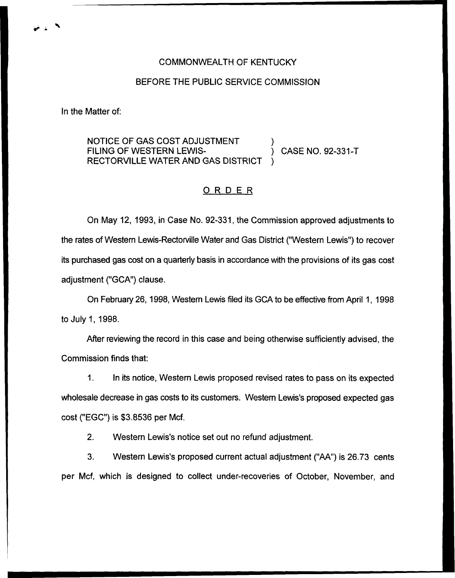## BEFORE THE PUBLIC SERVICE COMMISSION

In the Matter of:

NOTICE OF GAS COST ADJUSTMENT ) FILING OF WESTERN LEWIS- (2.4) CASE NO. 92-331-T RECTORVILLE WATER AND GAS DISTRICT )

## ORDER

On May 12, 1993, in Case No. 92-331, the Commission approved adjustments to the rates of Western Lewis-Rectorville Water and Gas District ("Western Lewis") to recove its purchased gas cost on a quarterly basis in accordance with the provisions of its gas cost adjustment ("GCA") clause.

On February 26, 1998, Western Lewis filed its GCA to be effective from April 1, 1998 to July 1, 1998.

After reviewing the record in this case and being otherwise sufficiently advised, the Commission finds that:

1. In its notice, Western Lewis proposed revised rates to pass on its expected wholesale decrease in gas costs to its customers. Western Lewis's proposed expected gas cost ("EGC") is \$3.8536 per Mcf.

2. Western Lewis's notice set out no refund adjustment.

3. VVestern Lewis's proposed current actual adjustment ("AA") is 26.73 cents per Mcf, which is designed to collect under-recoveries of October, November, and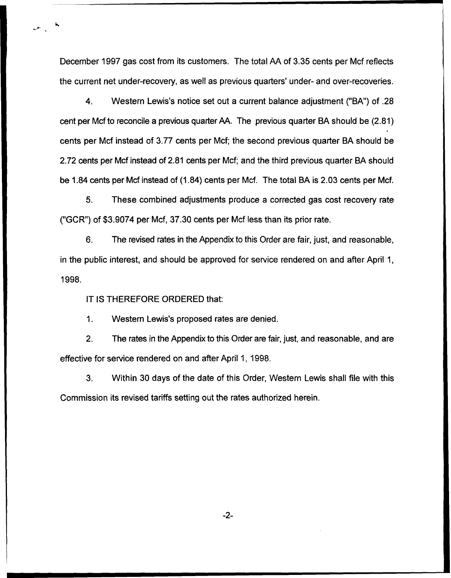December 1997 gas cost from its customers. The total AA of 3.35 cents per Mcf reflects the current net under-recovery, as well as previous quarters' under- and over-recoveries.

4. Western Lewis's notice set out a current balance adjustment ("BA") of .28 cent per Mcf to reconcile a previous quarter AA. The previous quarter BA should be (2.81) cents per Mcf instead of 3.77 cents per Mcf; the second previous quarter BA should be 2.72 cents per Mcf instead of 2.81 cents per Mcf; and the third previous quarter BA should be 1.84 cents per Mcf instead of (1.84) cents per Mcf. The total BA is 2.03 cents per Mcf.

5. These combined adjustments produce a corrected gas cost recovery rate ("GCR") of \$3.9074 per Mcf, 37.30 cents per Mcf less than its prior rate.

6. The revised rates in the Appendix to this Order are fair, just, and reasonable, in the public interest, and should be approved for service rendered on and after April 1, 1998.

IT IS THEREFORE ORDERED that:

1. Western Lewis's proposed rates are denied.

2. The rates in the Appendix to this Order are fair, just, and reasonable, and are effective for service rendered on and after April 1, 1998.

3. Within 30 days of the date of this Order, Western Lewis shall file with this Commission its revised tariffs setting out the rates authorized herein.

 $-2-$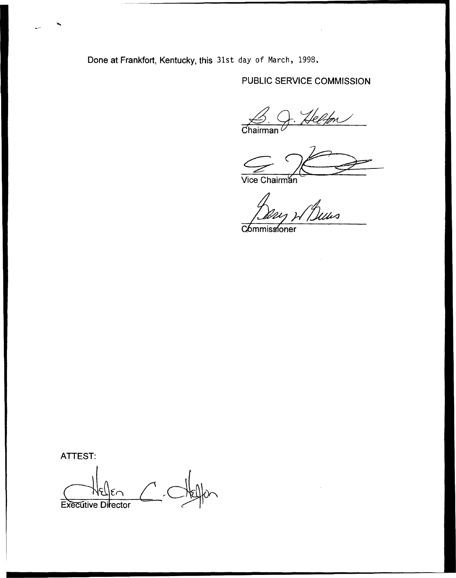Done at Frankfort, Kentucky, this 31st day of March, 1998.

# PUBLIC SERVICE COMMISSION

<u>Jelfor</u>  $\overbrace{\text{Chairman}}^{\text{C}}$ 

Vice Chairmán

Guus

Commissioner

ATTEST:

ኈ

Executive Director